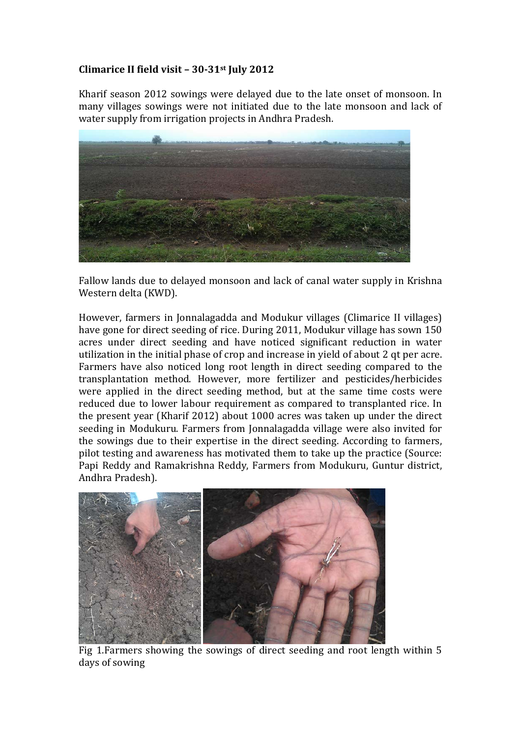## **Climarice II field visit – 30-31st July 2012**

Kharif season 2012 sowings were delayed due to the late onset of monsoon. In many villages sowings were not initiated due to the late monsoon and lack of water supply from irrigation projects in Andhra Pradesh.



Fallow lands due to delayed monsoon and lack of canal water supply in Krishna Western delta (KWD).

However, farmers in Jonnalagadda and Modukur villages (Climarice II villages) have gone for direct seeding of rice. During 2011, Modukur village has sown 150 acres under direct seeding and have noticed significant reduction in water utilization in the initial phase of crop and increase in yield of about 2 qt per acre. Farmers have also noticed long root length in direct seeding compared to the transplantation method. However, more fertilizer and pesticides/herbicides were applied in the direct seeding method, but at the same time costs were reduced due to lower labour requirement as compared to transplanted rice. In the present year (Kharif 2012) about 1000 acres was taken up under the direct seeding in Modukuru. Farmers from Jonnalagadda village were also invited for the sowings due to their expertise in the direct seeding. According to farmers, pilot testing and awareness has motivated them to take up the practice (Source: Papi Reddy and Ramakrishna Reddy, Farmers from Modukuru, Guntur district, Andhra Pradesh).



Fig 1.Farmers showing the sowings of direct seeding and root length within 5 days of sowing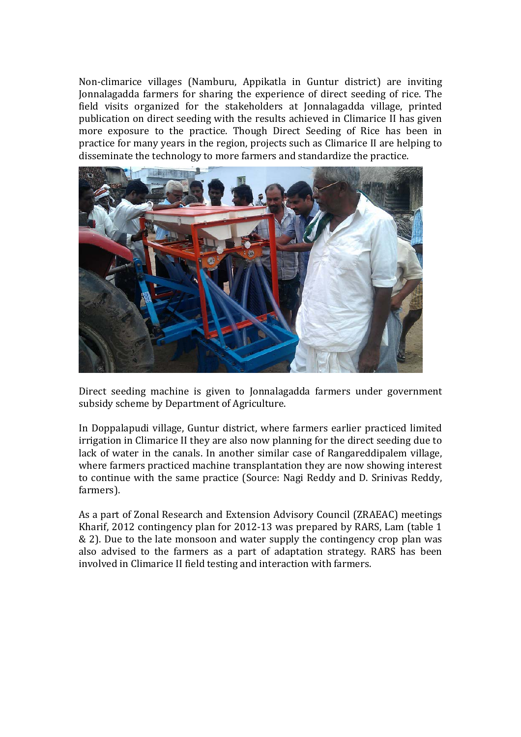Non-climarice villages (Namburu, Appikatla in Guntur district) are inviting Jonnalagadda farmers for sharing the experience of direct seeding of rice. The field visits organized for the stakeholders at Jonnalagadda village, printed publication on direct seeding with the results achieved in Climarice II has given more exposure to the practice. Though Direct Seeding of Rice has been in practice for many years in the region, projects such as Climarice II are helping to disseminate the technology to more farmers and standardize the practice.



Direct seeding machine is given to Jonnalagadda farmers under government subsidy scheme by Department of Agriculture.

In Doppalapudi village, Guntur district, where farmers earlier practiced limited irrigation in Climarice II they are also now planning for the direct seeding due to lack of water in the canals. In another similar case of Rangareddipalem village, where farmers practiced machine transplantation they are now showing interest to continue with the same practice (Source: Nagi Reddy and D. Srinivas Reddy, farmers).

As a part of Zonal Research and Extension Advisory Council (ZRAEAC) meetings Kharif, 2012 contingency plan for 2012-13 was prepared by RARS, Lam (table 1 & 2). Due to the late monsoon and water supply the contingency crop plan was also advised to the farmers as a part of adaptation strategy. RARS has been involved in Climarice II field testing and interaction with farmers.